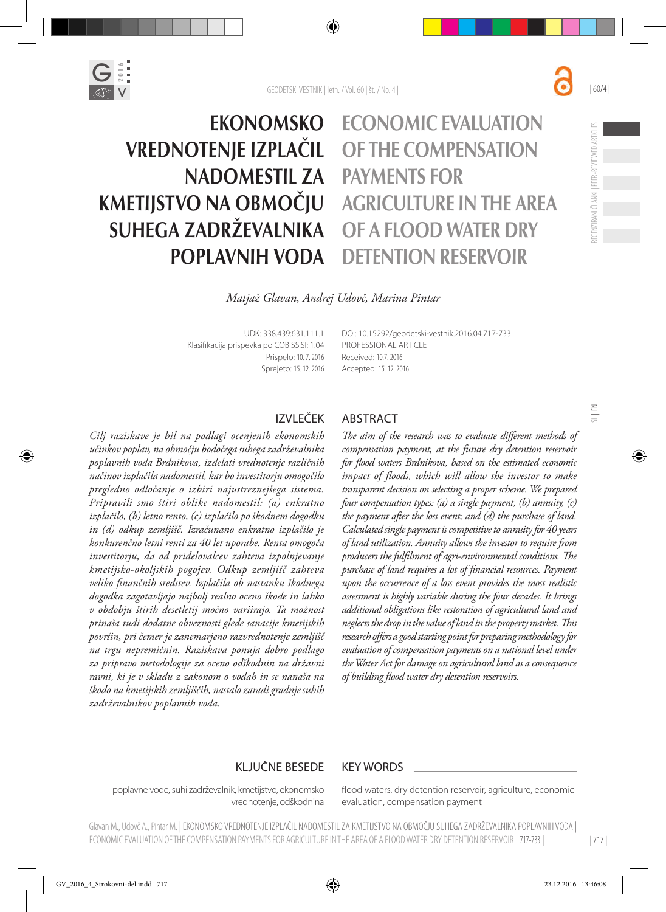



# Economic evaluation of the compensation payments for agriculture in the area of a flood water dry detention reservoir

RECENZIRANI ČLANKI | PEER-REVIEWED ARTICLES

ECENZIRANI ČLANKI I PEER-REVIEWED ARTICLES

 $\Xi$ 

| 60/4 |

*Matjaž Glavan, Andrej Udovč, Marina Pintar*

UDK: 338.439:631.111.1 Klasifikacija prispevka po COBISS.SI: 1.04 Prispelo: 10. 7. 2016 Sprejeto: 15. 12. 2016 DOI: 10.15292/geodetski-vestnik.2016.04.717-733 PROFESSIONAL ARTICLE Received: 10.7. 2016 Accepted: 15. 12. 2016

*Cilj raziskave je bil na podlagi ocenjenih ekonomskih učinkov poplav, na območju bodočega suhega zadrževalnika poplavnih voda Brdnikova, izdelati vrednotenje različnih načinov izplačila nadomestil, kar bo investitorju omogočilo pregledno odločanje o izbiri najustreznejšega sistema. Pripravili smo štiri oblike nadomestil: (a) enkratno izplačilo, (b) letno rento, (c) izplačilo po škodnem dogodku in (d) odkup zemljišč. Izračunano enkratno izplačilo je konkurenčno letni renti za 40 let uporabe. Renta omogoča investitorju, da od pridelovalcev zahteva izpolnjevanje kmetijsko-okoljskih pogojev. Odkup zemljišč zahteva veliko finančnih sredstev. Izplačila ob nastanku škodnega dogodka zagotavljajo najbolj realno oceno škode in lahko v obdobju štirih desetletij močno variirajo. Ta možnost prinaša tudi dodatne obveznosti glede sanacije kmetijskih površin, pri čemer je zanemarjeno razvrednotenje zemljišč na trgu nepremičnin. Raziskava ponuja dobro podlago za pripravo metodologije za oceno odškodnin na državni ravni, ki je v skladu z zakonom o vodah in se nanaša na škodo na kmetijskih zemljiščih, nastalo zaradi gradnje suhih zadrževalnikov poplavnih voda.*

#### IZVLEČEK ABSTRACT

*The aim of the research was to evaluate different methods of compensation payment, at the future dry detention reservoir for flood waters Brdnikova, based on the estimated economic impact of floods, which will allow the investor to make transparent decision on selecting a proper scheme. We prepared four compensation types: (a) a single payment, (b) annuity, (c) the payment after the loss event; and (d) the purchase of land. Calculated single payment is competitive to annuity for 40 years of land utilization. Annuity allows the investor to require from producers the fulfilment of agri-environmental conditions. The purchase of land requires a lot of financial resources. Payment upon the occurrence of a loss event provides the most realistic assessment is highly variable during the four decades. It brings additional obligations like restoration of agricultural land and neglects the drop in the value of land in the property market. This research offers a good starting point for preparing methodology for evaluation of compensation payments on a national level under the Water Act for damage on agricultural land as a consequence of building flood water dry detention reservoirs.* 

#### KLJUČNE BESEDE KEY WORDS

poplavne vode, suhi zadrževalnik, kmetijstvo, ekonomsko vrednotenje, odškodnina

flood waters, dry detention reservoir, agriculture, economic evaluation, compensation payment

Glavan M., Udovč A., Pintar M. | EKONOMSKO VREDNOTENJE IZPLACIL NADOMESTIL ZA KMETIJSTVO NA OBMOČIU SUHEGA ZADRZEVALNIKA POPLAVNIH VODA | ECONOMIC EVALUATION OF THE COMPENSATION PAYMENTS FOR AGRICULTURE IN THE AREA OF A FLOOD WATER DRY DETENTION RESERVOIR | 717-733 |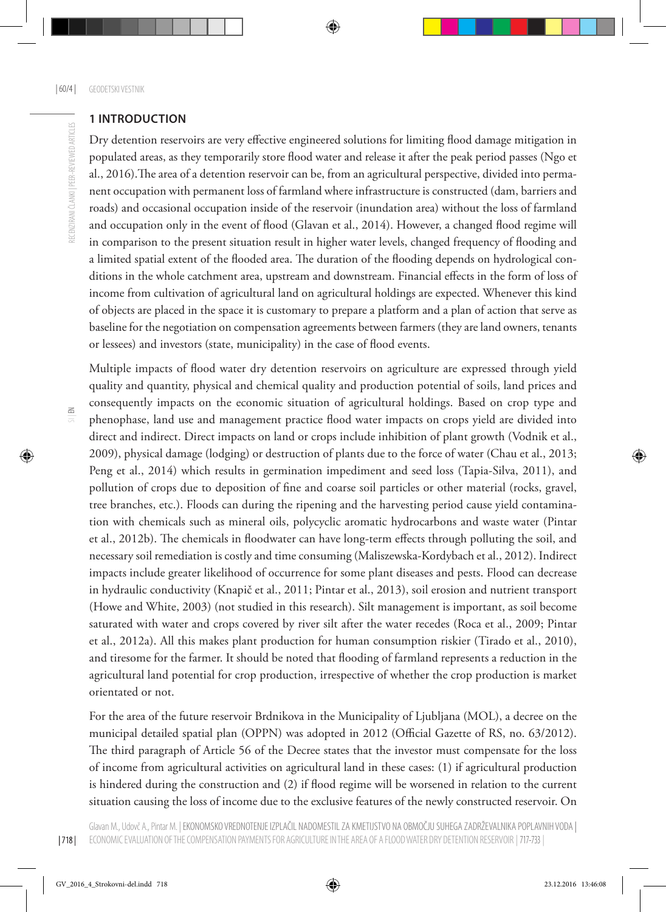RECENZIRANI ČLANKI | PEER-REVIEWED ARTICLES

#### **1 INTRODUCTION**

Dry detention reservoirs are very effective engineered solutions for limiting flood damage mitigation in populated areas, as they temporarily store flood water and release it after the peak period passes (Ngo et al., 2016).The area of a detention reservoir can be, from an agricultural perspective, divided into permanent occupation with permanent loss of farmland where infrastructure is constructed (dam, barriers and roads) and occasional occupation inside of the reservoir (inundation area) without the loss of farmland and occupation only in the event of flood (Glavan et al., 2014). However, a changed flood regime will in comparison to the present situation result in higher water levels, changed frequency of flooding and a limited spatial extent of the flooded area. The duration of the flooding depends on hydrological conditions in the whole catchment area, upstream and downstream. Financial effects in the form of loss of income from cultivation of agricultural land on agricultural holdings are expected. Whenever this kind of objects are placed in the space it is customary to prepare a platform and a plan of action that serve as baseline for the negotiation on compensation agreements between farmers (they are land owners, tenants or lessees) and investors (state, municipality) in the case of flood events.

Multiple impacts of flood water dry detention reservoirs on agriculture are expressed through yield quality and quantity, physical and chemical quality and production potential of soils, land prices and consequently impacts on the economic situation of agricultural holdings. Based on crop type and phenophase, land use and management practice flood water impacts on crops yield are divided into direct and indirect. Direct impacts on land or crops include inhibition of plant growth (Vodnik et al., 2009), physical damage (lodging) or destruction of plants due to the force of water (Chau et al., 2013; Peng et al., 2014) which results in germination impediment and seed loss (Tapia-Silva, 2011), and pollution of crops due to deposition of fine and coarse soil particles or other material (rocks, gravel, tree branches, etc.). Floods can during the ripening and the harvesting period cause yield contamination with chemicals such as mineral oils, polycyclic aromatic hydrocarbons and waste water (Pintar et al., 2012b). The chemicals in floodwater can have long-term effects through polluting the soil, and necessary soil remediation is costly and time consuming (Maliszewska-Kordybach et al., 2012). Indirect impacts include greater likelihood of occurrence for some plant diseases and pests. Flood can decrease in hydraulic conductivity (Knapič et al., 2011; Pintar et al., 2013), soil erosion and nutrient transport (Howe and White, 2003) (not studied in this research). Silt management is important, as soil become saturated with water and crops covered by river silt after the water recedes (Roca et al., 2009; Pintar et al., 2012a). All this makes plant production for human consumption riskier (Tirado et al., 2010), and tiresome for the farmer. It should be noted that flooding of farmland represents a reduction in the agricultural land potential for crop production, irrespective of whether the crop production is market orientated or not.

For the area of the future reservoir Brdnikova in the Municipality of Ljubljana (MOL), a decree on the municipal detailed spatial plan (OPPN) was adopted in 2012 (Official Gazette of RS, no. 63/2012). The third paragraph of Article 56 of the Decree states that the investor must compensate for the loss of income from agricultural activities on agricultural land in these cases: (1) if agricultural production is hindered during the construction and (2) if flood regime will be worsened in relation to the current situation causing the loss of income due to the exclusive features of the newly constructed reservoir. On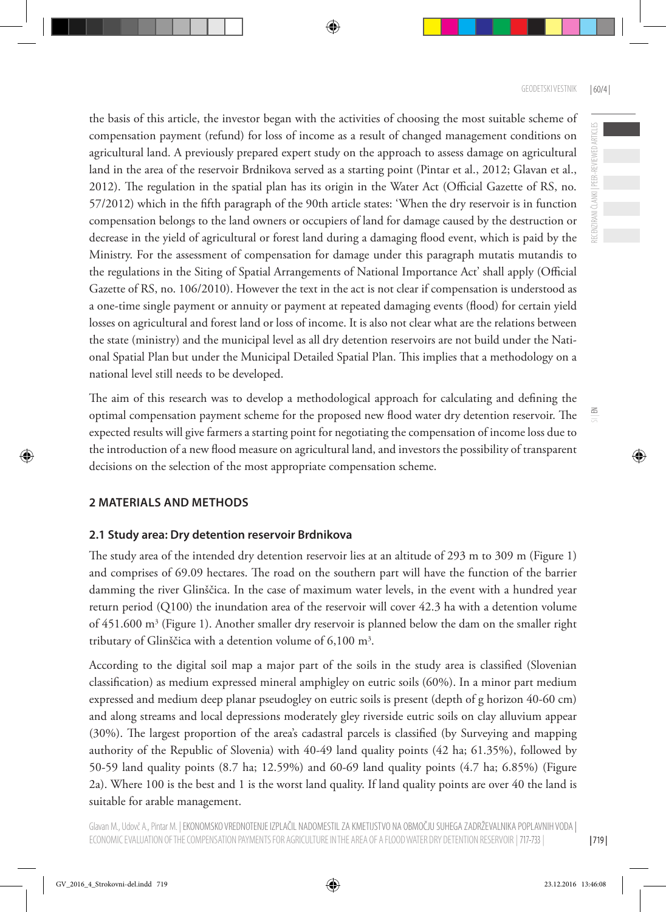the basis of this article, the investor began with the activities of choosing the most suitable scheme of compensation payment (refund) for loss of income as a result of changed management conditions on agricultural land. A previously prepared expert study on the approach to assess damage on agricultural land in the area of the reservoir Brdnikova served as a starting point (Pintar et al., 2012; Glavan et al., 2012). The regulation in the spatial plan has its origin in the Water Act (Official Gazette of RS, no. 57/2012) which in the fifth paragraph of the 90th article states: 'When the dry reservoir is in function compensation belongs to the land owners or occupiers of land for damage caused by the destruction or decrease in the yield of agricultural or forest land during a damaging flood event, which is paid by the Ministry. For the assessment of compensation for damage under this paragraph mutatis mutandis to the regulations in the Siting of Spatial Arrangements of National Importance Act' shall apply (Official Gazette of RS, no. 106/2010). However the text in the act is not clear if compensation is understood as a one-time single payment or annuity or payment at repeated damaging events (flood) for certain yield losses on agricultural and forest land or loss of income. It is also not clear what are the relations between the state (ministry) and the municipal level as all dry detention reservoirs are not build under the National Spatial Plan but under the Municipal Detailed Spatial Plan. This implies that a methodology on a national level still needs to be developed.

The aim of this research was to develop a methodological approach for calculating and defining the optimal compensation payment scheme for the proposed new flood water dry detention reservoir. The expected results will give farmers a starting point for negotiating the compensation of income loss due to the introduction of a new flood measure on agricultural land, and investors the possibility of transparent decisions on the selection of the most appropriate compensation scheme.

# **2 MATERIALS AND METHODS**

# **2.1 Study area: Dry detention reservoir Brdnikova**

The study area of the intended dry detention reservoir lies at an altitude of 293 m to 309 m (Figure 1) and comprises of 69.09 hectares. The road on the southern part will have the function of the barrier damming the river Glinščica. In the case of maximum water levels, in the event with a hundred year return period (Q100) the inundation area of the reservoir will cover 42.3 ha with a detention volume of 451.600 m<sup>3</sup> (Figure 1). Another smaller dry reservoir is planned below the dam on the smaller right tributary of Glinščica with a detention volume of  $6,100 \text{ m}^3$ .

According to the digital soil map a major part of the soils in the study area is classified (Slovenian classification) as medium expressed mineral amphigley on eutric soils (60%). In a minor part medium expressed and medium deep planar pseudogley on eutric soils is present (depth of g horizon 40-60 cm) and along streams and local depressions moderately gley riverside eutric soils on clay alluvium appear (30%). The largest proportion of the area's cadastral parcels is classified (by Surveying and mapping authority of the Republic of Slovenia) with 40-49 land quality points (42 ha; 61.35%), followed by 50-59 land quality points (8.7 ha; 12.59%) and 60-69 land quality points (4.7 ha; 6.85%) (Figure 2a). Where 100 is the best and 1 is the worst land quality. If land quality points are over 40 the land is suitable for arable management.

 $\Xi$ 

RECENZIRANI ČLANKI | PEER-REVIEWED ARTICLES

RECENZIRANI ČLANKI | PEER-REVIEWED ARTICLES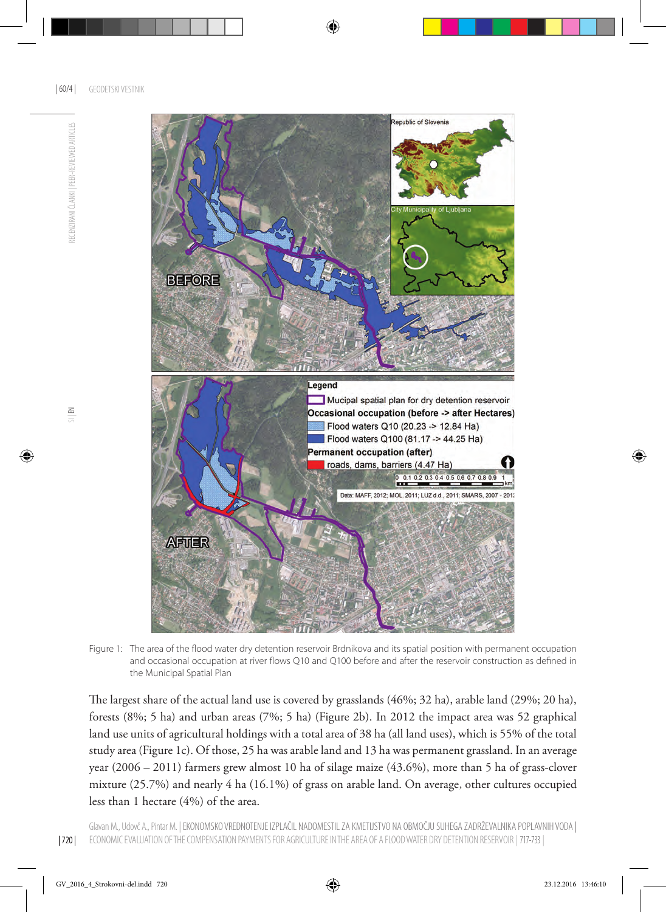RECENZIRANI ČLANKI I PEER-REVIEWED ARTICLES



Figure 1: The area of the flood water dry detention reservoir Brdnikova and its spatial position with permanent occupation and occasional occupation at river flows Q10 and Q100 before and after the reservoir construction as defined in the Municipal Spatial Plan

The largest share of the actual land use is covered by grasslands (46%; 32 ha), arable land (29%; 20 ha), forests (8%; 5 ha) and urban areas (7%; 5 ha) (Figure 2b). In 2012 the impact area was 52 graphical land use units of agricultural holdings with a total area of 38 ha (all land uses), which is 55% of the total study area (Figure 1c). Of those, 25 ha was arable land and 13 ha was permanent grassland. In an average year (2006 – 2011) farmers grew almost 10 ha of silage maize (43.6%), more than 5 ha of grass-clover mixture (25.7%) and nearly 4 ha (16.1%) of grass on arable land. On average, other cultures occupied less than 1 hectare (4%) of the area.

| 720 |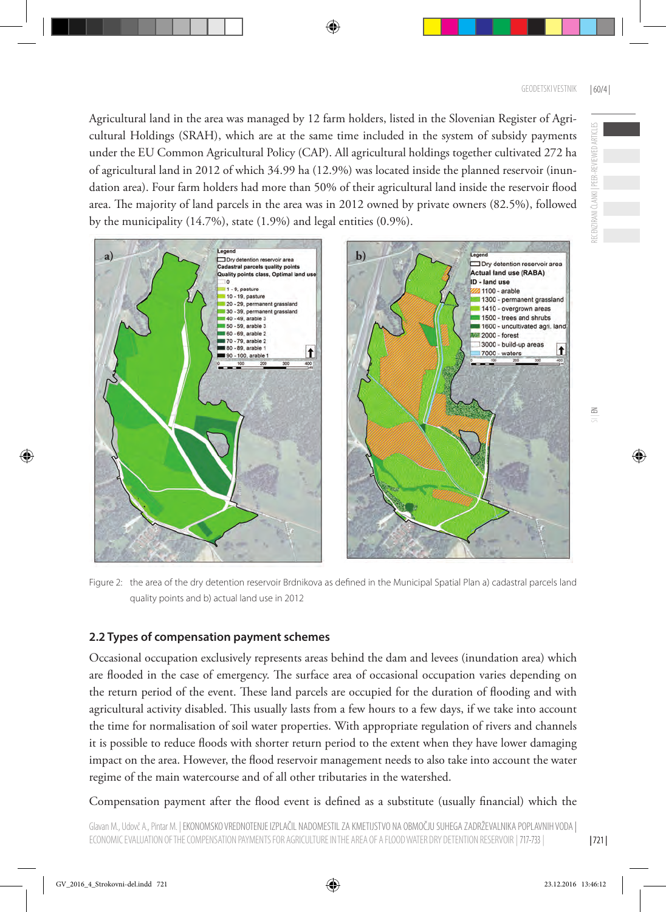Agricultural land in the area was managed by 12 farm holders, listed in the Slovenian Register of Agricultural Holdings (SRAH), which are at the same time included in the system of subsidy payments under the EU Common Agricultural Policy (CAP). All agricultural holdings together cultivated 272 ha of agricultural land in 2012 of which 34.99 ha (12.9%) was located inside the planned reservoir (inundation area). Four farm holders had more than 50% of their agricultural land inside the reservoir flood area. The majority of land parcels in the area was in 2012 owned by private owners (82.5%), followed by the municipality (14.7%), state (1.9%) and legal entities (0.9%).



Figure 2: the area of the dry detention reservoir Brdnikova as defined in the Municipal Spatial Plan a) cadastral parcels land quality points and b) actual land use in 2012

# **2.2 Types of compensation payment schemes**

Occasional occupation exclusively represents areas behind the dam and levees (inundation area) which are flooded in the case of emergency. The surface area of occasional occupation varies depending on the return period of the event. These land parcels are occupied for the duration of flooding and with agricultural activity disabled. This usually lasts from a few hours to a few days, if we take into account the time for normalisation of soil water properties. With appropriate regulation of rivers and channels it is possible to reduce floods with shorter return period to the extent when they have lower damaging impact on the area. However, the flood reservoir management needs to also take into account the water regime of the main watercourse and of all other tributaries in the watershed.

Compensation payment after the flood event is defined as a substitute (usually financial) which the

RECENZIRANI ČLANKI | PEER-REVIEWED ARTICLES

ECENZIRANI ČLANKI I PEER-

REVIEWED ARTICLES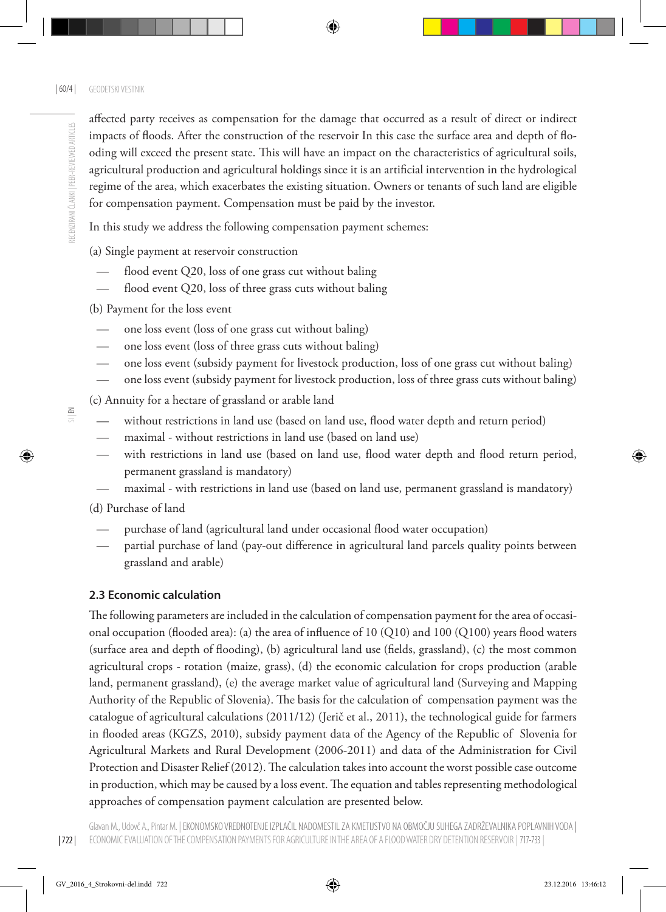$\leq$ 

affected party receives as compensation for the damage that occurred as a result of direct or indirect impacts of floods. After the construction of the reservoir In this case the surface area and depth of flooding will exceed the present state. This will have an impact on the characteristics of agricultural soils, agricultural production and agricultural holdings since it is an artificial intervention in the hydrological regime of the area, which exacerbates the existing situation. Owners or tenants of such land are eligible for compensation payment. Compensation must be paid by the investor.

In this study we address the following compensation payment schemes:

(a) Single payment at reservoir construction

- flood event Q20, loss of one grass cut without baling
- flood event Q20, loss of three grass cuts without baling
- (b) Payment for the loss event
- one loss event (loss of one grass cut without baling)
- one loss event (loss of three grass cuts without baling)
- one loss event (subsidy payment for livestock production, loss of one grass cut without baling)
- one loss event (subsidy payment for livestock production, loss of three grass cuts without baling)
- (c) Annuity for a hectare of grassland or arable land
- without restrictions in land use (based on land use, flood water depth and return period)
- maximal without restrictions in land use (based on land use)
- with restrictions in land use (based on land use, flood water depth and flood return period, permanent grassland is mandatory)
- maximal with restrictions in land use (based on land use, permanent grassland is mandatory)
- (d) Purchase of land
- purchase of land (agricultural land under occasional flood water occupation)
- partial purchase of land (pay-out difference in agricultural land parcels quality points between grassland and arable)

# **2.3 Economic calculation**

The following parameters are included in the calculation of compensation payment for the area of occasional occupation (flooded area): (a) the area of influence of 10 (Q10) and 100 (Q100) years flood waters (surface area and depth of flooding), (b) agricultural land use (fields, grassland), (c) the most common agricultural crops - rotation (maize, grass), (d) the economic calculation for crops production (arable land, permanent grassland), (e) the average market value of agricultural land (Surveying and Mapping Authority of the Republic of Slovenia). The basis for the calculation of compensation payment was the catalogue of agricultural calculations (2011/12) (Jerič et al., 2011), the technological guide for farmers in flooded areas (KGZS, 2010), subsidy payment data of the Agency of the Republic of Slovenia for Agricultural Markets and Rural Development (2006-2011) and data of the Administration for Civil Protection and Disaster Relief (2012). The calculation takes into account the worst possible case outcome in production, which may be caused by a loss event. The equation and tables representing methodological approaches of compensation payment calculation are presented below.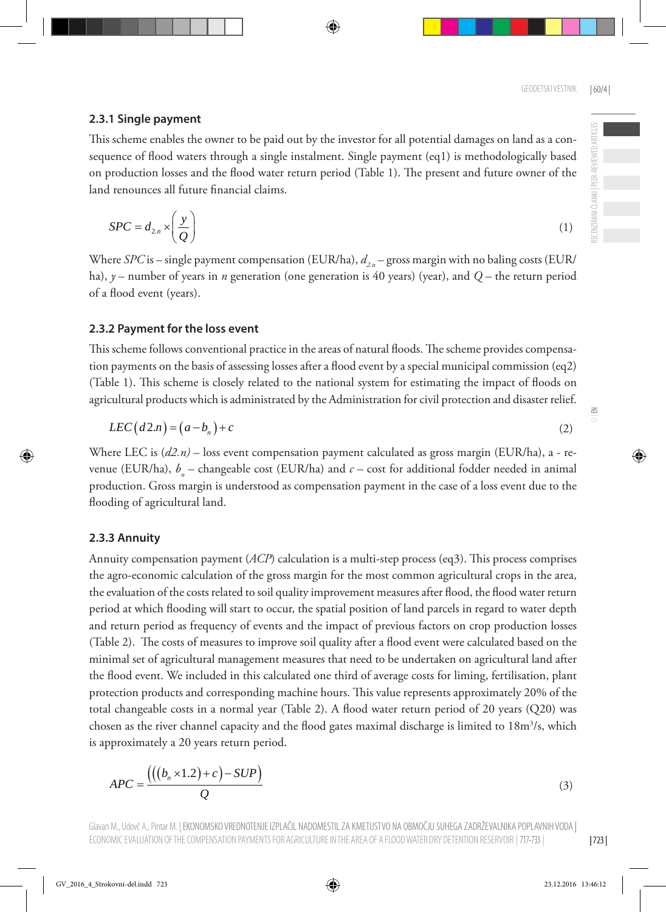#### **2.3.1 Single payment**

This scheme enables the owner to be paid out by the investor for all potential damages on land as a consequence of flood waters through a single instalment. Single payment (eq1) is methodologically based on production losses and the flood water return period (Table 1). The present and future owner of the land renounces all future financial claims.

$$
SPC = d_{2,n} \times \left(\frac{y}{Q}\right) \tag{1}
$$

Where *SPC* is – single payment compensation (EUR/ha),  $d_{2n}$  – gross margin with no baling costs (EUR/ ha), *y* – number of years in *n* generation (one generation is 40 years) (year), and *Q* – the return period of a flood event (years).

#### **2.3.2 Payment for the loss event**

This scheme follows conventional practice in the areas of natural floods. The scheme provides compensation payments on the basis of assessing losses after a flood event by a special municipal commission (eq2) (Table 1). This scheme is closely related to the national system for estimating the impact of floods on agricultural products which is administrated by the Administration for civil protection and disaster relief.

$$
LEC(d2.n) = (a - bn) + c
$$
\n<sup>(2)</sup>

Where LEC is (*d2.n)* – loss event compensation payment calculated as gross margin (EUR/ha), a - revenue (EUR/ha),  $b_n$  – changeable cost (EUR/ha) and  $c$  – cost for additional fodder needed in animal production. Gross margin is understood as compensation payment in the case of a loss event due to the flooding of agricultural land.

#### **2.3.3 Annuity**

Annuity compensation payment (*ACP*) calculation is a multi-step process (eq3). This process comprises the agro-economic calculation of the gross margin for the most common agricultural crops in the area, the evaluation of the costs related to soil quality improvement measures after flood, the flood water return period at which flooding will start to occur, the spatial position of land parcels in regard to water depth and return period as frequency of events and the impact of previous factors on crop production losses (Table 2). The costs of measures to improve soil quality after a flood event were calculated based on the minimal set of agricultural management measures that need to be undertaken on agricultural land after the flood event. We included in this calculated one third of average costs for liming, fertilisation, plant protection products and corresponding machine hours. This value represents approximately 20% of the total changeable costs in a normal year (Table 2). A flood water return period of 20 years (Q20) was chosen as the river channel capacity and the flood gates maximal discharge is limited to 18m<sup>3</sup>/s, which is approximately a 20 years return period.

$$
APC = \frac{(((b_n \times 1.2) + c) - SUP)}{Q}
$$
\n(3)

Glavan M., Udovč A., Pintar M. | EKONOMSKO VREDNOTENJE IZPLACIL NADOMESTIL ZA KMETIJSTVO NA OBMOČIU SUHEGA ZADRZEVALNIKA POPLAVNIH VODA | ECONOMIC EVALUATION OF THE COMPENSATION PAYMENTS FOR AGRICULTURE IN THE AREA OF A FLOOD WATER DRY DETENTION RESERVOIR | 717-733 |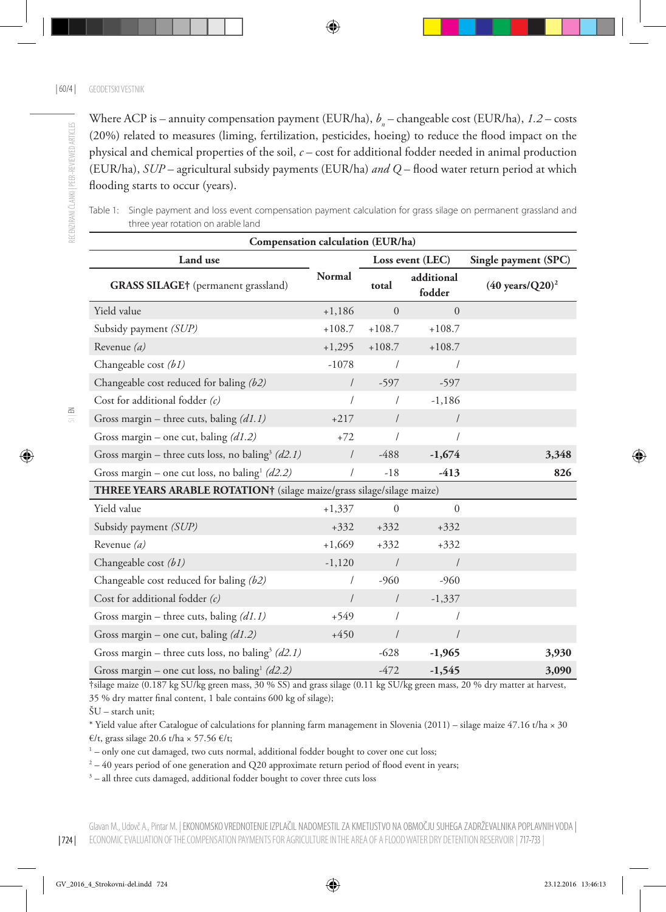Where ACP is – annuity compensation payment (EUR/ha),  $b_n$  – changeable cost (EUR/ha), *1.2* – costs (20%) related to measures (liming, fertilization, pesticides, hoeing) to reduce the flood impact on the physical and chemical properties of the soil, *c* – cost for additional fodder needed in animal production (EUR/ha), *SUP* – agricultural subsidy payments (EUR/ha) *and Q* – flood water return period at which flooding starts to occur (years).

Table 1: Single payment and loss event compensation payment calculation for grass silage on permanent grassland and three year rotation on arable land

| Compensation calculation (EUR/ha)                                     |            |              |                      |                                   |  |  |  |
|-----------------------------------------------------------------------|------------|--------------|----------------------|-----------------------------------|--|--|--|
| Land use                                                              | Normal     |              | Loss event (LEC)     | Single payment (SPC)              |  |  |  |
| <b>GRASS SILAGE</b> † (permanent grassland)                           |            | total        | additional<br>fodder | $(40 \text{ years}/\text{Q20})^2$ |  |  |  |
| Yield value                                                           | $+1,186$   | $\Omega$     | $\Omega$             |                                   |  |  |  |
| Subsidy payment (SUP)                                                 | $+108.7$   | $+108.7$     | $+108.7$             |                                   |  |  |  |
| Revenue $(a)$                                                         | $+1,295$   | $+108.7$     | $+108.7$             |                                   |  |  |  |
| Changeable cost (b1)                                                  | $-1078$    |              | 1                    |                                   |  |  |  |
| Changeable cost reduced for baling (b2)                               | $\sqrt{2}$ | $-597$       | $-597$               |                                   |  |  |  |
| Cost for additional fodder (c)                                        | $\prime$   | $\prime$     | $-1,186$             |                                   |  |  |  |
| Gross margin – three cuts, baling $(d1.1)$                            | $+217$     | $\sqrt{2}$   | $\sqrt{2}$           |                                   |  |  |  |
| Gross margin – one cut, baling $(d1.2)$                               | $+72$      |              |                      |                                   |  |  |  |
| Gross margin – three cuts loss, no baling <sup>3</sup> (d2.1)         | $\sqrt{ }$ | $-488$       | $-1,674$             | 3,348                             |  |  |  |
| Gross margin – one cut loss, no baling <sup>1</sup> (d2.2)            | $\sqrt{2}$ | $-18$        | $-413$               | 826                               |  |  |  |
| THREE YEARS ARABLE ROTATION† (silage maize/grass silage/silage maize) |            |              |                      |                                   |  |  |  |
| Yield value                                                           | $+1,337$   | $\mathbf{0}$ | $\boldsymbol{0}$     |                                   |  |  |  |
| Subsidy payment (SUP)                                                 | $+332$     | $+332$       | $+332$               |                                   |  |  |  |
| Revenue $(a)$                                                         | $+1,669$   | $+332$       | $+332$               |                                   |  |  |  |
| Changeable cost (b1)                                                  | $-1,120$   | $\sqrt{2}$   | $\sqrt{2}$           |                                   |  |  |  |
| Changeable cost reduced for baling (b2)                               | $\prime$   | $-960$       | $-960$               |                                   |  |  |  |
| Cost for additional fodder $(c)$                                      | $\sqrt{2}$ | $\sqrt{2}$   | $-1,337$             |                                   |  |  |  |
| Gross margin – three cuts, baling $(d1.1)$                            | $+549$     | $\prime$     | $\prime$             |                                   |  |  |  |
| Gross margin – one cut, baling $(d1.2)$                               | $+450$     | $\sqrt{2}$   | $\sqrt{ }$           |                                   |  |  |  |
| Gross margin – three cuts loss, no baling <sup>3</sup> (d2.1)         |            | $-628$       | $-1,965$             | 3,930                             |  |  |  |
| Gross margin – one cut loss, no baling $(d2.2)$                       |            | $-472$       | $-1,545$             | 3,090                             |  |  |  |

†silage maize (0.187 kg SU/kg green mass, 30 % SS) and grass silage (0.11 kg SU/kg green mass, 20 % dry matter at harvest, 35 % dry matter final content, 1 bale contains 600 kg of silage);

ŠU – starch unit;

\* Yield value after Catalogue of calculations for planning farm management in Slovenia (2011) – silage maize 47.16 t/ha × 30 €/t, grass silage 20.6 t/ha × 57.56 €/t;

 $1$  – only one cut damaged, two cuts normal, additional fodder bought to cover one cut loss;

 $^2$  – 40 years period of one generation and Q20 approximate return period of flood event in years;

3 – all three cuts damaged, additional fodder bought to cover three cuts loss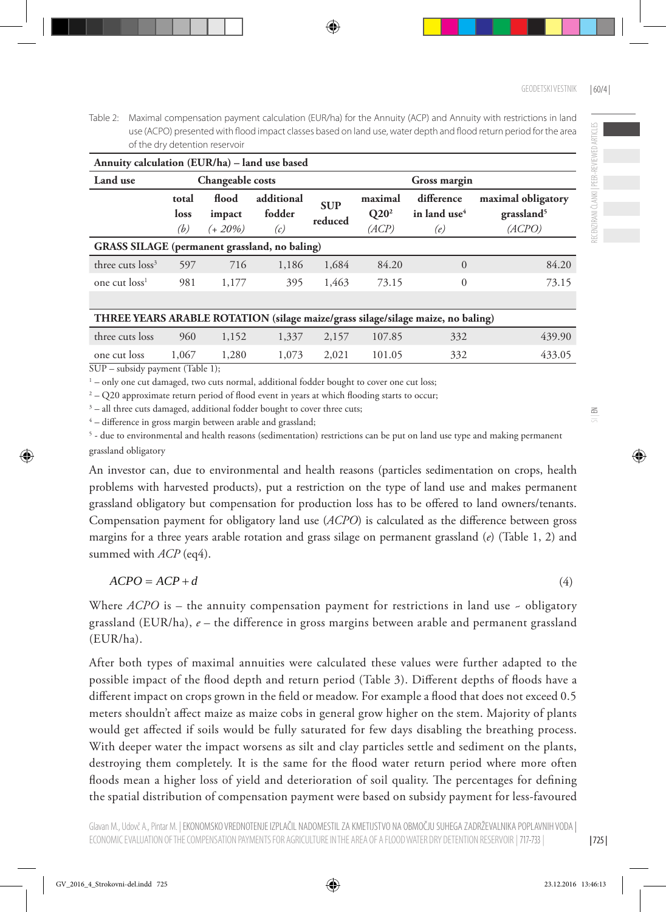Table 2: Maximal compensation payment calculation (EUR/ha) for the Annuity (ACP) and Annuity with restrictions in land use (ACPO) presented with flood impact classes based on land use, water depth and flood return period for the area of the dry detention reservoir

| Annuity calculation (EUR/ha) – land use based |                      |                                  |                             |                       |                             |                                               |                                                        |  |  |
|-----------------------------------------------|----------------------|----------------------------------|-----------------------------|-----------------------|-----------------------------|-----------------------------------------------|--------------------------------------------------------|--|--|
| Land use                                      |                      | Changeable costs<br>Gross margin |                             |                       |                             |                                               |                                                        |  |  |
|                                               | total<br>loss<br>(b) | flood<br>impact<br>$(+ 20\%)$    | additional<br>fodder<br>(c) | <b>SUP</b><br>reduced | maximal<br>$Q20^2$<br>(ACP) | difference<br>in land use <sup>4</sup><br>(e) | maximal obligatory<br>grassland <sup>5</sup><br>(ACPO) |  |  |
| GRASS SILAGE (permanent grassland, no baling) |                      |                                  |                             |                       |                             |                                               |                                                        |  |  |
| three cuts loss <sup>3</sup>                  | 597                  | 716                              | 1,186                       | 1,684                 | 84.20                       | $\Omega$                                      | 84.20                                                  |  |  |
| one cut loss <sup>1</sup>                     | 981                  | 1,177                            | 395                         | 1,463                 | 73.15                       | 0                                             | 73.15                                                  |  |  |

| THREE YEARS ARABLE ROTATION (silage maize/grass silage/silage maize, no baling) |  |  |
|---------------------------------------------------------------------------------|--|--|
|                                                                                 |  |  |

|                 |        |       |             |        | There is the company of the company of the company of the company of the company |        |
|-----------------|--------|-------|-------------|--------|----------------------------------------------------------------------------------|--------|
| three cuts loss | 960    | 1,152 | 1,337 2,157 | 107.85 | 332                                                                              | 439.90 |
| one cut loss    | 1.067  | 1,280 | 1,073 2,021 | 101.05 | 332                                                                              | 433.05 |
| $QTTT$ $1 \t1$  | 777114 |       |             |        |                                                                                  |        |

SUP – subsidy payment (Table 1);

<sup>1</sup> – only one cut damaged, two cuts normal, additional fodder bought to cover one cut loss;

 $\rm ^2$  – Q20 approximate return period of flood event in years at which flooding starts to occur;

 $3$  – all three cuts damaged, additional fodder bought to cover three cuts;

4 – difference in gross margin between arable and grassland;

5 - due to environmental and health reasons (sedimentation) restrictions can be put on land use type and making permanent grassland obligatory

An investor can, due to environmental and health reasons (particles sedimentation on crops, health problems with harvested products), put a restriction on the type of land use and makes permanent grassland obligatory but compensation for production loss has to be offered to land owners/tenants. Compensation payment for obligatory land use (*ACPO*) is calculated as the difference between gross margins for a three years arable rotation and grass silage on permanent grassland (*e*) (Table 1, 2) and summed with *ACP* (eq4).

$$
ACPO = ACP + d \tag{4}
$$

Where *ACPO* is – the annuity compensation payment for restrictions in land use - obligatory grassland (EUR/ha), *e* – the difference in gross margins between arable and permanent grassland (EUR/ha).

After both types of maximal annuities were calculated these values were further adapted to the possible impact of the flood depth and return period (Table 3). Different depths of floods have a different impact on crops grown in the field or meadow. For example a flood that does not exceed 0.5 meters shouldn't affect maize as maize cobs in general grow higher on the stem. Majority of plants would get affected if soils would be fully saturated for few days disabling the breathing process. With deeper water the impact worsens as silt and clay particles settle and sediment on the plants, destroying them completely. It is the same for the flood water return period where more often floods mean a higher loss of yield and deterioration of soil quality. The percentages for defining the spatial distribution of compensation payment were based on subsidy payment for less-favoured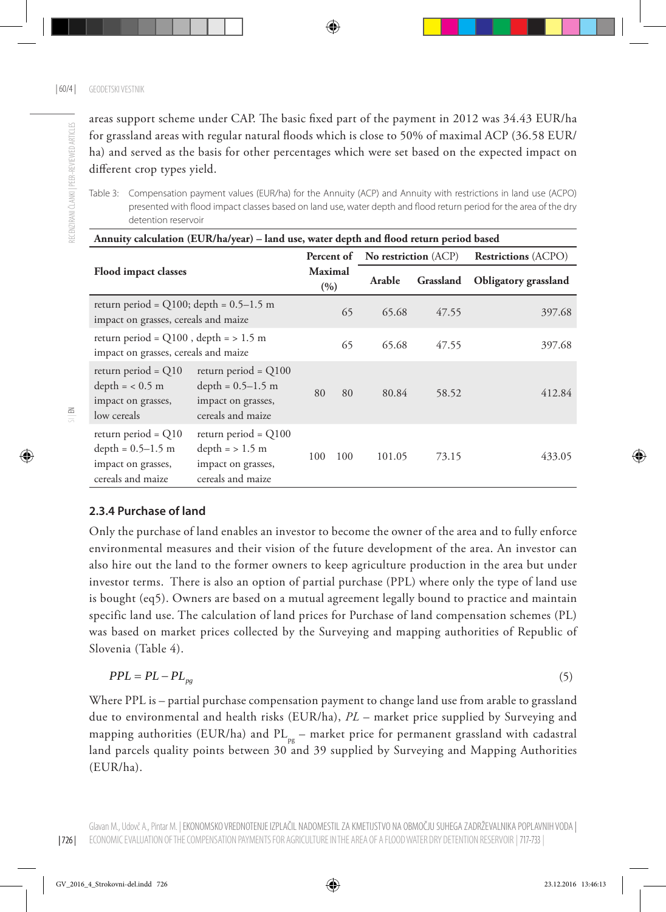areas support scheme under CAP. The basic fixed part of the payment in 2012 was 34.43 EUR/ha for grassland areas with regular natural floods which is close to 50% of maximal ACP (36.58 EUR/ ha) and served as the basis for other percentages which were set based on the expected impact on different crop types yield.

RECENZIRANI ČLANKI | PEER-REVIEWED ARTICLES RECENZIRANI ČLANKI | PEER-REVIEWED ARTICLES

Table 3: Compensation payment values (EUR/ha) for the Annuity (ACP) and Annuity with restrictions in land use (ACPO) presented with flood impact classes based on land use, water depth and flood return period for the area of the dry detention reservoir

| Annuity calculation (EUR/ha/year) – land use, water depth and flood return period based |                                                                                          |                         |     |                                        |           |                            |  |  |
|-----------------------------------------------------------------------------------------|------------------------------------------------------------------------------------------|-------------------------|-----|----------------------------------------|-----------|----------------------------|--|--|
| <b>Flood impact classes</b>                                                             |                                                                                          |                         |     | <b>Percent of</b> No restriction (ACP) |           | <b>Restrictions</b> (ACPO) |  |  |
|                                                                                         |                                                                                          | <b>Maximal</b><br>(9/0) |     | Arable                                 | Grassland | Obligatory grassland       |  |  |
| return period = $Q100$ ; depth = $0.5-1.5$ m<br>impact on grasses, cereals and maize    |                                                                                          |                         | 65  | 65.68                                  | 47.55     | 397.68                     |  |  |
| return period = $Q100$ , depth = $> 1.5$ m<br>impact on grasses, cereals and maize      |                                                                                          |                         | 65  | 65.68                                  | 47.55     | 397.68                     |  |  |
| return period = $Q10$<br>$depth = < 0.5 m$<br>impact on grasses,<br>low cereals         | return period = $Q100$<br>depth = $0.5-1.5$ m<br>impact on grasses,<br>cereals and maize | 80                      | 80  | 80.84                                  | 58.52     | 412.84                     |  |  |
| return period = $Q10$<br>depth = $0.5-1.5$ m<br>impact on grasses,<br>cereals and maize | return period = $Q100$<br>$depth = > 1.5 m$<br>impact on grasses,<br>cereals and maize   | 100                     | 100 | 101.05                                 | 73.15     | 433.05                     |  |  |

# **2.3.4 Purchase of land**

Only the purchase of land enables an investor to become the owner of the area and to fully enforce environmental measures and their vision of the future development of the area. An investor can also hire out the land to the former owners to keep agriculture production in the area but under investor terms. There is also an option of partial purchase (PPL) where only the type of land use is bought (eq5). Owners are based on a mutual agreement legally bound to practice and maintain specific land use. The calculation of land prices for Purchase of land compensation schemes (PL) was based on market prices collected by the Surveying and mapping authorities of Republic of Slovenia (Table 4).

$$
PPL = PL - PL_{pg} \tag{5}
$$

Where PPL is – partial purchase compensation payment to change land use from arable to grassland due to environmental and health risks (EUR/ha), *PL* – market price supplied by Surveying and mapping authorities (EUR/ha) and  $PL_{pe}$  – market price for permanent grassland with cadastral land parcels quality points between 30 and 39 supplied by Surveying and Mapping Authorities (EUR/ha).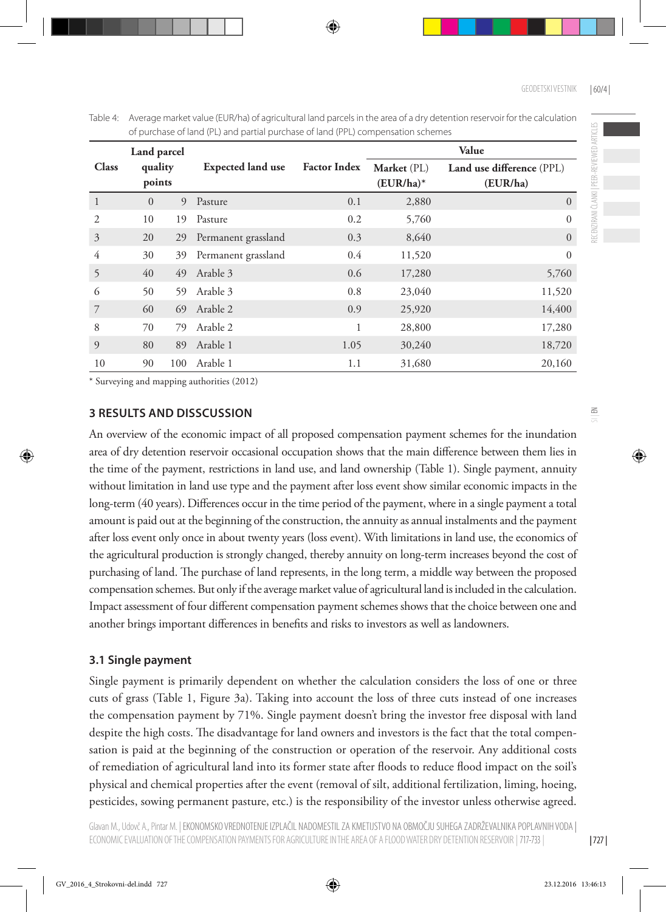Table 4: Average market value (EUR/ha) of agricultural land parcels in the area of a dry detention reservoir for the calculation of purchase of land (PL) and partial purchase of land (PPL) compensation schemes

| Land parcel  |                   |     |                          |                     | Value                       |                                       |  |  |
|--------------|-------------------|-----|--------------------------|---------------------|-----------------------------|---------------------------------------|--|--|
| <b>Class</b> | quality<br>points |     | <b>Expected land use</b> | <b>Factor Index</b> | Market (PL)<br>$(EUR/ha)^*$ | Land use difference (PPL)<br>(EUR/ha) |  |  |
| 1            | $\Omega$          | 9   | Pasture                  | 0.1                 | 2,880                       | $\overline{0}$                        |  |  |
| 2            | 10                | 19  | Pasture                  | 0.2                 | 5,760                       | $\Omega$                              |  |  |
| 3            | 20                | 29  | Permanent grassland      | 0.3                 | 8,640                       | $\Omega$                              |  |  |
| 4            | 30                | 39  | Permanent grassland      | 0.4                 | 11,520                      | $\theta$                              |  |  |
| 5            | 40                | 49  | Arable 3                 | 0.6                 | 17,280                      | 5,760                                 |  |  |
| 6            | 50                | 59  | Arable 3                 | 0.8                 | 23,040                      | 11,520                                |  |  |
| 7            | 60                | 69  | Arable 2                 | 0.9                 | 25,920                      | 14,400                                |  |  |
| 8            | 70                | 79  | Arable 2                 | 1                   | 28,800                      | 17,280                                |  |  |
| 9            | 80                | 89  | Arable 1                 | 1.05                | 30,240                      | 18,720                                |  |  |
| 10           | 90                | 100 | Arable 1                 | 1.1                 | 31,680                      | 20,160                                |  |  |

\* Surveying and mapping authorities (2012)

#### **3 RESULTS AND DISSCUSSION**

An overview of the economic impact of all proposed compensation payment schemes for the inundation area of dry detention reservoir occasional occupation shows that the main difference between them lies in the time of the payment, restrictions in land use, and land ownership (Table 1). Single payment, annuity without limitation in land use type and the payment after loss event show similar economic impacts in the long-term (40 years). Differences occur in the time period of the payment, where in a single payment a total amount is paid out at the beginning of the construction, the annuity as annual instalments and the payment after loss event only once in about twenty years (loss event). With limitations in land use, the economics of the agricultural production is strongly changed, thereby annuity on long-term increases beyond the cost of purchasing of land. The purchase of land represents, in the long term, a middle way between the proposed compensation schemes. But only if the average market value of agricultural land is included in the calculation. Impact assessment of four different compensation payment schemes shows that the choice between one and another brings important differences in benefits and risks to investors as well as landowners.

#### **3.1 Single payment**

Single payment is primarily dependent on whether the calculation considers the loss of one or three cuts of grass (Table 1, Figure 3a). Taking into account the loss of three cuts instead of one increases the compensation payment by 71%. Single payment doesn't bring the investor free disposal with land despite the high costs. The disadvantage for land owners and investors is the fact that the total compensation is paid at the beginning of the construction or operation of the reservoir. Any additional costs of remediation of agricultural land into its former state after floods to reduce flood impact on the soil's physical and chemical properties after the event (removal of silt, additional fertilization, liming, hoeing, pesticides, sowing permanent pasture, etc.) is the responsibility of the investor unless otherwise agreed.

| 727 |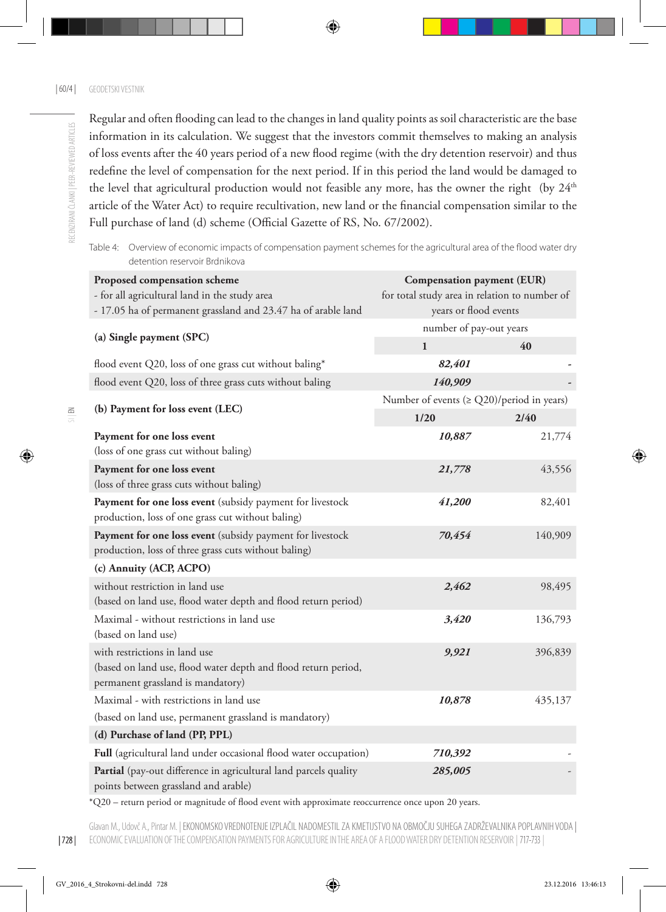$\leq$ 

Regular and often flooding can lead to the changes in land quality points as soil characteristic are the base information in its calculation. We suggest that the investors commit themselves to making an analysis of loss events after the 40 years period of a new flood regime (with the dry detention reservoir) and thus redefine the level of compensation for the next period. If in this period the land would be damaged to the level that agricultural production would not feasible any more, has the owner the right (by  $24<sup>th</sup>$ article of the Water Act) to require recultivation, new land or the financial compensation similar to the Full purchase of land (d) scheme (Official Gazette of RS, No. 67/2002).

Table 4: Overview of economic impacts of compensation payment schemes for the agricultural area of the flood water dry detention reservoir Brdnikova

| Proposed compensation scheme<br>- for all agricultural land in the study area<br>- 17.05 ha of permanent grassland and 23.47 ha of arable land | <b>Compensation payment (EUR)</b><br>for total study area in relation to number of<br>years or flood events |                         |  |
|------------------------------------------------------------------------------------------------------------------------------------------------|-------------------------------------------------------------------------------------------------------------|-------------------------|--|
| (a) Single payment (SPC)                                                                                                                       |                                                                                                             | number of pay-out years |  |
|                                                                                                                                                | $\mathbf{1}$                                                                                                | 40                      |  |
| flood event Q20, loss of one grass cut without baling*                                                                                         | 82,401                                                                                                      |                         |  |
| flood event Q20, loss of three grass cuts without baling                                                                                       | 140,909                                                                                                     |                         |  |
| (b) Payment for loss event (LEC)                                                                                                               | Number of events $(\ge Q20)/$ period in years)                                                              | 2/40                    |  |
| Payment for one loss event<br>(loss of one grass cut without baling)                                                                           | 1/20<br>10,887                                                                                              | 21,774                  |  |
| Payment for one loss event<br>(loss of three grass cuts without baling)                                                                        | 21,778                                                                                                      | 43,556                  |  |
| Payment for one loss event (subsidy payment for livestock<br>production, loss of one grass cut without baling)                                 | 41,200                                                                                                      | 82,401                  |  |
| Payment for one loss event (subsidy payment for livestock<br>production, loss of three grass cuts without baling)                              | 70,454                                                                                                      | 140,909                 |  |
| (c) Annuity (ACP, ACPO)                                                                                                                        |                                                                                                             |                         |  |
| without restriction in land use<br>(based on land use, flood water depth and flood return period)                                              | 2,462                                                                                                       | 98,495                  |  |
| Maximal - without restrictions in land use<br>(based on land use)                                                                              | 3,420                                                                                                       | 136,793                 |  |
| with restrictions in land use<br>(based on land use, flood water depth and flood return period,<br>permanent grassland is mandatory)           | 9,921                                                                                                       | 396,839                 |  |
| Maximal - with restrictions in land use                                                                                                        | 10,878                                                                                                      | 435,137                 |  |
| (based on land use, permanent grassland is mandatory)                                                                                          |                                                                                                             |                         |  |
| (d) Purchase of land (PP, PPL)                                                                                                                 |                                                                                                             |                         |  |
| Full (agricultural land under occasional flood water occupation)                                                                               | 710,392                                                                                                     |                         |  |
| Partial (pay-out difference in agricultural land parcels quality<br>points between grassland and arable)                                       | 285,005                                                                                                     |                         |  |

\*Q20 – return period or magnitude of flood event with approximate reoccurrence once upon 20 years.

Glavan M., Udovč A., Pintar M. | EKONOMSKO VREDNOTENJE IZPLAČIL NADOMESTIL ZA KMETIJSTVO NA OBMOČJU SUHEGA ZADRŽEVALNIKA POPLAVNIH VODA | ECONOMIC EVALUATION OF THE COMPENSATION PAYMENTS FOR AGRICULTURE IN THE AREA OF A FLOOD WATER DRY DETENTION RESERVOIR | 717-733 |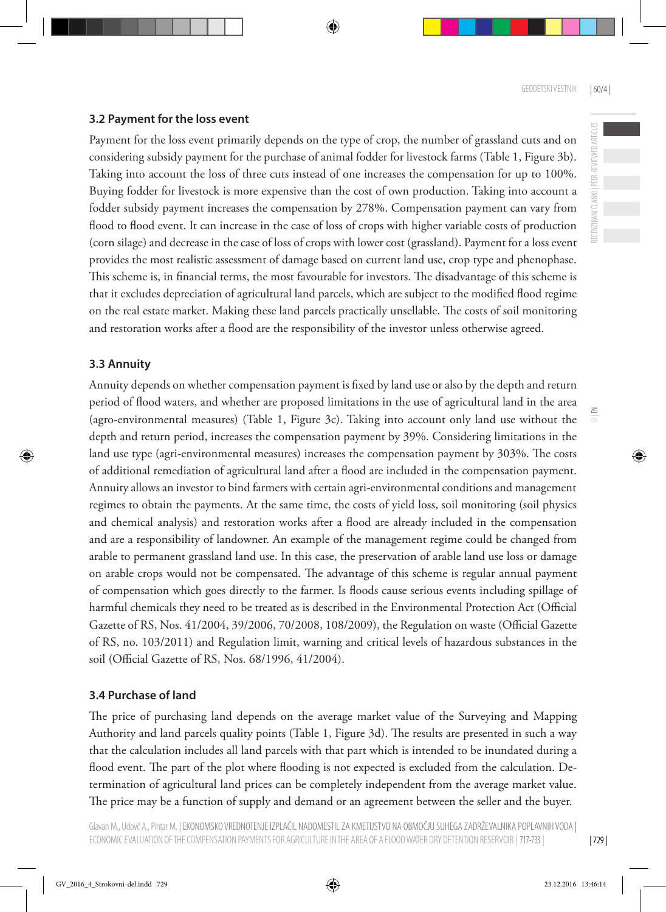RECENZIRANI ČLANKI | PEER-REVIEWED ARTICLES

 $\Xi$ 

# **3.2 Payment for the loss event**

Payment for the loss event primarily depends on the type of crop, the number of grassland cuts and on considering subsidy payment for the purchase of animal fodder for livestock farms (Table 1, Figure 3b). Taking into account the loss of three cuts instead of one increases the compensation for up to 100%. Buying fodder for livestock is more expensive than the cost of own production. Taking into account a fodder subsidy payment increases the compensation by 278%. Compensation payment can vary from flood to flood event. It can increase in the case of loss of crops with higher variable costs of production (corn silage) and decrease in the case of loss of crops with lower cost (grassland). Payment for a loss event provides the most realistic assessment of damage based on current land use, crop type and phenophase. This scheme is, in financial terms, the most favourable for investors. The disadvantage of this scheme is that it excludes depreciation of agricultural land parcels, which are subject to the modified flood regime on the real estate market. Making these land parcels practically unsellable. The costs of soil monitoring and restoration works after a flood are the responsibility of the investor unless otherwise agreed.

# **3.3 Annuity**

Annuity depends on whether compensation payment is fixed by land use or also by the depth and return period of flood waters, and whether are proposed limitations in the use of agricultural land in the area (agro-environmental measures) (Table 1, Figure 3c). Taking into account only land use without the depth and return period, increases the compensation payment by 39%. Considering limitations in the land use type (agri-environmental measures) increases the compensation payment by 303%. The costs of additional remediation of agricultural land after a flood are included in the compensation payment. Annuity allows an investor to bind farmers with certain agri-environmental conditions and management regimes to obtain the payments. At the same time, the costs of yield loss, soil monitoring (soil physics and chemical analysis) and restoration works after a flood are already included in the compensation and are a responsibility of landowner. An example of the management regime could be changed from arable to permanent grassland land use. In this case, the preservation of arable land use loss or damage on arable crops would not be compensated. The advantage of this scheme is regular annual payment of compensation which goes directly to the farmer. Is floods cause serious events including spillage of harmful chemicals they need to be treated as is described in the Environmental Protection Act (Official Gazette of RS, Nos. 41/2004, 39/2006, 70/2008, 108/2009), the Regulation on waste (Official Gazette of RS, no. 103/2011) and Regulation limit, warning and critical levels of hazardous substances in the soil (Official Gazette of RS, Nos. 68/1996, 41/2004).

# **3.4 Purchase of land**

The price of purchasing land depends on the average market value of the Surveying and Mapping Authority and land parcels quality points (Table 1, Figure 3d). The results are presented in such a way that the calculation includes all land parcels with that part which is intended to be inundated during a flood event. The part of the plot where flooding is not expected is excluded from the calculation. Determination of agricultural land prices can be completely independent from the average market value. The price may be a function of supply and demand or an agreement between the seller and the buyer.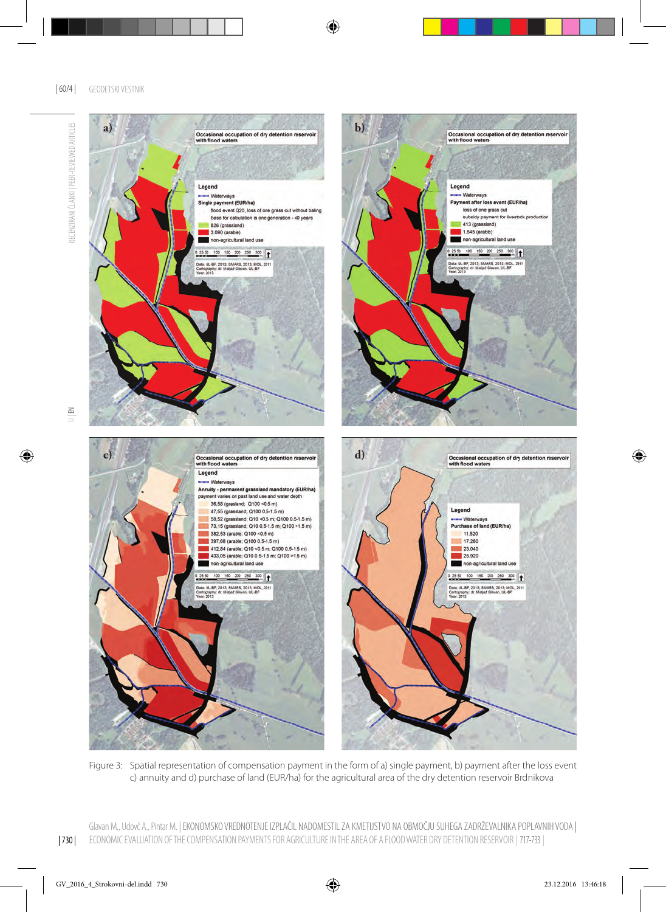

Figure 3: Spatial representation of compensation payment in the form of a) single payment, b) payment after the loss event c) annuity and d) purchase of land (EUR/ha) for the agricultural area of the dry detention reservoir Brdnikova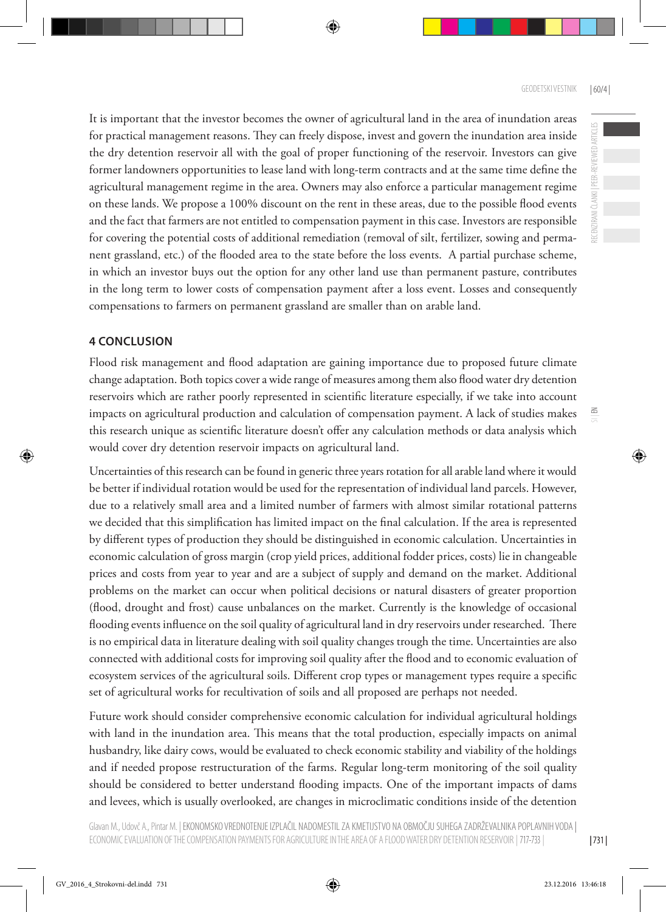RECENZIRANI ČLANKI | PEER-REVIEWED ARTICLES

 $\leq$ 

It is important that the investor becomes the owner of agricultural land in the area of inundation areas for practical management reasons. They can freely dispose, invest and govern the inundation area inside the dry detention reservoir all with the goal of proper functioning of the reservoir. Investors can give former landowners opportunities to lease land with long-term contracts and at the same time define the agricultural management regime in the area. Owners may also enforce a particular management regime on these lands. We propose a 100% discount on the rent in these areas, due to the possible flood events and the fact that farmers are not entitled to compensation payment in this case. Investors are responsible for covering the potential costs of additional remediation (removal of silt, fertilizer, sowing and permanent grassland, etc.) of the flooded area to the state before the loss events. A partial purchase scheme, in which an investor buys out the option for any other land use than permanent pasture, contributes in the long term to lower costs of compensation payment after a loss event. Losses and consequently compensations to farmers on permanent grassland are smaller than on arable land.

# **4 CONCLUSION**

Flood risk management and flood adaptation are gaining importance due to proposed future climate change adaptation. Both topics cover a wide range of measures among them also flood water dry detention reservoirs which are rather poorly represented in scientific literature especially, if we take into account impacts on agricultural production and calculation of compensation payment. A lack of studies makes this research unique as scientific literature doesn't offer any calculation methods or data analysis which would cover dry detention reservoir impacts on agricultural land.

Uncertainties of this research can be found in generic three years rotation for all arable land where it would be better if individual rotation would be used for the representation of individual land parcels. However, due to a relatively small area and a limited number of farmers with almost similar rotational patterns we decided that this simplification has limited impact on the final calculation. If the area is represented by different types of production they should be distinguished in economic calculation. Uncertainties in economic calculation of gross margin (crop yield prices, additional fodder prices, costs) lie in changeable prices and costs from year to year and are a subject of supply and demand on the market. Additional problems on the market can occur when political decisions or natural disasters of greater proportion (flood, drought and frost) cause unbalances on the market. Currently is the knowledge of occasional flooding events influence on the soil quality of agricultural land in dry reservoirs under researched. There is no empirical data in literature dealing with soil quality changes trough the time. Uncertainties are also connected with additional costs for improving soil quality after the flood and to economic evaluation of ecosystem services of the agricultural soils. Different crop types or management types require a specific set of agricultural works for recultivation of soils and all proposed are perhaps not needed.

Future work should consider comprehensive economic calculation for individual agricultural holdings with land in the inundation area. This means that the total production, especially impacts on animal husbandry, like dairy cows, would be evaluated to check economic stability and viability of the holdings and if needed propose restructuration of the farms. Regular long-term monitoring of the soil quality should be considered to better understand flooding impacts. One of the important impacts of dams and levees, which is usually overlooked, are changes in microclimatic conditions inside of the detention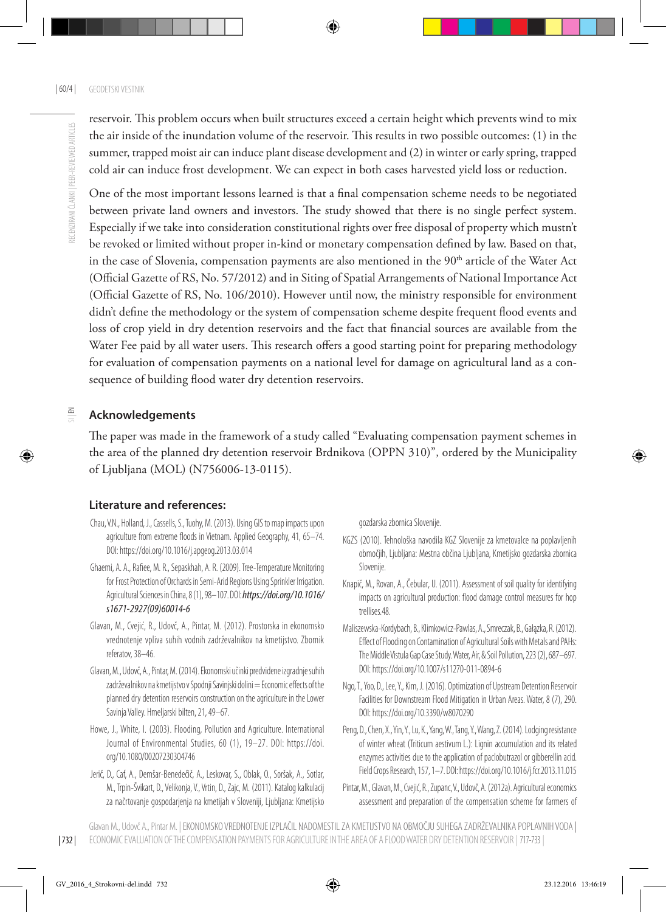reservoir. This problem occurs when built structures exceed a certain height which prevents wind to mix the air inside of the inundation volume of the reservoir. This results in two possible outcomes: (1) in the summer, trapped moist air can induce plant disease development and (2) in winter or early spring, trapped cold air can induce frost development. We can expect in both cases harvested yield loss or reduction.

One of the most important lessons learned is that a final compensation scheme needs to be negotiated between private land owners and investors. The study showed that there is no single perfect system. Especially if we take into consideration constitutional rights over free disposal of property which mustn't be revoked or limited without proper in-kind or monetary compensation defined by law. Based on that, in the case of Slovenia, compensation payments are also mentioned in the 90<sup>th</sup> article of the Water Act (Official Gazette of RS, No. 57/2012) and in Siting of Spatial Arrangements of National Importance Act (Official Gazette of RS, No. 106/2010). However until now, the ministry responsible for environment didn't define the methodology or the system of compensation scheme despite frequent flood events and loss of crop yield in dry detention reservoirs and the fact that financial sources are available from the Water Fee paid by all water users. This research offers a good starting point for preparing methodology for evaluation of compensation payments on a national level for damage on agricultural land as a consequence of building flood water dry detention reservoirs.

#### $\leq$ **Acknowledgements**

The paper was made in the framework of a study called "Evaluating compensation payment schemes in the area of the planned dry detention reservoir Brdnikova (OPPN 310)", ordered by the Municipality of Ljubljana (MOL) (N756006-13-0115).

# **Literature and references:**

- Chau, V.N., Holland, J., Cassells, S., Tuohy, M. (2013). Using GIS to map impacts upon agriculture from extreme floods in Vietnam. Applied Geography, 41, 65–74. DOI: https://doi.org/10.1016/j.apgeog.2013.03.014
- Ghaemi, A. A., Rafiee, M. R., Sepaskhah, A. R. (2009). Tree-Temperature Monitoring for Frost Protection of Orchards in Semi-Arid Regions Using Sprinkler Irrigation. Agricultural Sciences in China, 8 (1), 98–107. DOI: *https://doi.org/10.1016/ s1671-2927(09)60014-6*
- Glavan, M., Cvejić, R., Udovč, A., Pintar, M. (2012). Prostorska in ekonomsko vrednotenje vpliva suhih vodnih zadrževalnikov na kmetijstvo. Zbornik referatov, 38–46.
- Glavan, M., Udovč, A., Pintar, M. (2014). Ekonomski učinki predvidene izgradnje suhih zadrževalnikov na kmetijstvo v Spodnji Savinjski dolini = Economic effects of the planned dry detention reservoirs construction on the agriculture in the Lower Savinja Valley. Hmeljarski bilten, 21, 49–67.
- Howe, J., White, I. (2003). Flooding, Pollution and Agriculture. International Journal of Environmental Studies, 60 (1), 19–27. DOI: https://doi. org/10.1080/00207230304746
- Jerič, D., Caf, A., Demšar-Benedečič, A., Leskovar, S., Oblak, O., Soršak, A., Sotlar, M., Trpin-Švikart, D., Velikonja, V., Vrtin, D., Zajc, M. (2011). Katalog kalkulacij za načrtovanje gospodarjenja na kmetijah v Sloveniji, Ljubljana: Kmetijsko

gozdarska zbornica Slovenije.

- KGZS (2010). Tehnološka navodila KGZ Slovenije za kmetovalce na poplavljenih območjih, Ljubljana: Mestna občina Ljubljana, Kmetijsko gozdarska zbornica Slovenije.
- Knapič, M., Rovan, A., Čebular, U. (2011). Assessment of soil quality for identifying impacts on agricultural production: flood damage control measures for hop trellises.48.
- Maliszewska-Kordybach, B., Klimkowicz-Pawlas, A., Smreczak, B., Gałązka, R. (2012). Effect of Flooding on Contamination of Agricultural Soils with Metals and PAHs: The Middle Vistula Gap Case Study. Water, Air, & Soil Pollution, 223 (2), 687–697. DOI: https://doi.org/10.1007/s11270-011-0894-6
- Ngo, T., Yoo, D., Lee, Y., Kim, J. (2016). Optimization of Upstream Detention Reservoir Facilities for Downstream Flood Mitigation in Urban Areas. Water, 8 (7), 290. DOI: https://doi.org/10.3390/w8070290
- Peng, D., Chen, X., Yin, Y., Lu, K., Yang, W., Tang, Y., Wang, Z. (2014). Lodging resistance of winter wheat (Triticum aestivum L.): Lignin accumulation and its related enzymes activities due to the application of paclobutrazol or gibberellin acid. Field Crops Research, 157, 1–7. DOI: https://doi.org/10.1016/j.fcr.2013.11.015
- Pintar, M., Glavan, M., Cvejić, R., Zupanc, V., Udovč, A. (2012a). Agricultural economics assessment and preparation of the compensation scheme for farmers of

| 732 | Glavan M., Udovč A., Pintar M. | EKONOMSKO VREDNOTENJE IZPLAČIL NADOMESTIL ZA KMETIJSTVO NA OBMOČJU SUHEGA ZADRŽEVALNIKA POPLAVNIH VODA | ECONOMIC EVALUATION OF THE COMPENSATION PAYMENTS FOR AGRICULTURE IN THE AREA OF A FLOOD WATER DRY DETENTION RESERVOIR | 717-733 |